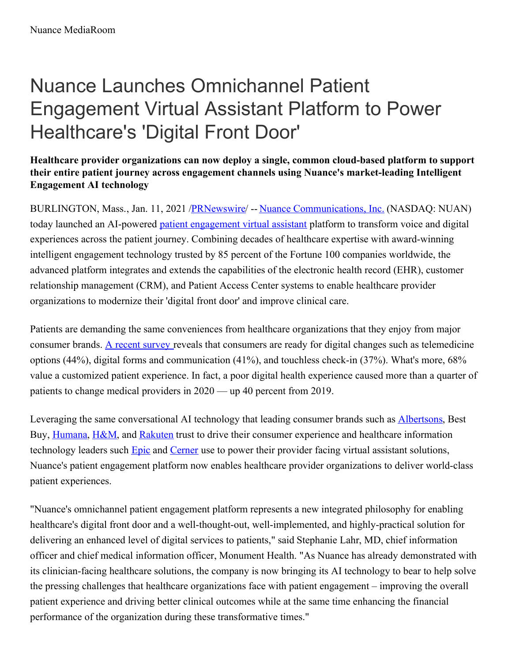## Nuance Launches Omnichannel Patient Engagement Virtual Assistant Platform to Power Healthcare's 'Digital Front Door'

## **Healthcare provider organizations can now deploy a single, common cloud-based platform to support their entire patient journey across engagement channels using Nuance's market-leading Intelligent Engagement AI technology**

BURLINGTON, Mass., Jan. 11, 2021 [/PRNewswire](http://www.prnewswire.com/)/ -- Nuance [Communications,](https://c212.net/c/link/?t=0&l=en&o=3029718-1&h=4067045010&u=https%3A%2F%2Fwww.nuance.com%2Findex.html&a=Nuance+Communications%2C+Inc.) Inc. (NASDAQ: NUAN) today launched an AI-powered patient [engagement](https://c212.net/c/link/?t=0&l=en&o=3029718-1&h=1431647053&u=https%3A%2F%2Fwww.nuance.com%2Fhealthcare%2Fpatient-engagement.html&a=patient+engagement+virtual+assistant) virtual assistant platform to transform voice and digital experiences across the patient journey. Combining decades of healthcare expertise with award-winning intelligent engagement technology trusted by 85 percent of the Fortune 100 companies worldwide, the advanced platform integrates and extends the capabilities of the electronic health record (EHR), customer relationship management (CRM), and Patient Access Center systems to enable healthcare provider organizations to modernize their 'digital front door' and improve clinical care.

Patients are demanding the same conveniences from healthcare organizations that they enjoy from major consumer brands. A recent [survey](https://c212.net/c/link/?t=0&l=en&o=3029718-1&h=839426384&u=https%3A%2F%2Fwww.cedar.com%2Fhealthcare-consumer-study%2F&a=A+recent+survey+) reveals that consumers are ready for digital changes such as telemedicine options (44%), digital forms and communication (41%), and touchless check-in (37%). What's more, 68% value a customized patient experience. In fact, a poor digital health experience caused more than a quarter of patients to change medical providers in 2020 — up 40 percent from 2019.

Leveraging the same conversational AI technology that leading consumer brands such as [Albertsons](https://c212.net/c/link/?t=0&l=en&o=3029718-1&h=3867598641&u=https%3A%2F%2Fnews.nuance.com%2F2020-05-06-Albertsons-Companies-Supports-Online-Grocery-Shoppers-with-Nuance-AI-powered-Virtual-Assistant-and-Live-Chat&a=Albertsons), Best Buy, [Humana](https://c212.net/c/link/?t=0&l=en&o=3029718-1&h=2240071126&u=https%3A%2F%2Fwww.nuance.com%2Fomni-channel-customer-engagement%2Fcase-studies%2Fmajor-us-health-insurer-civr.html&a=Humana), [H&M](https://c212.net/c/link/?t=0&l=en&o=3029718-1&h=1196398623&u=https%3A%2F%2Fnews.nuance.com%2F2020-10-06-H-M-Extends-Nuance-Virtual-Assistant-and-Live-Chat-to-Googles-Business-Messages&a=H%26M), and [Rakuten](https://c212.net/c/link/?t=0&l=en&o=3029718-1&h=2166918797&u=https%3A%2F%2Fnews.nuance.com%2F2020-09-23-Rakuten-Mobile-Adds-Nuance-Intelligent-Engagement-AI-Services-to-Rakuten-Communications-Platform&a=Rakuten) trust to drive their consumer experience and healthcare information technology leaders such **[Epic](https://c212.net/c/link/?t=0&l=en&o=3029718-1&h=403981715&u=https%3A%2F%2Fnews.nuance.com%2F2020-08-20-Nuance-Advances-Conversational-AI-with-Dragon-Medical-Virtual-Assistant-for-Hey-Epic-Virtual-Assistant-in-Epic-Hyperspace&a=Epic) and [Cerner](https://c212.net/c/link/?t=0&l=en&o=3029718-1&h=901231266&u=https%3A%2F%2Fnews.nuance.com%2F2020-07-30-Nuance-and-Cerner-Expand-Strategic-Voice-AI-Collaboration-to-Include-Dragon-Medical-Virtual-Assistant-Technology&a=Cerner)** use to power their provider facing virtual assistant solutions, Nuance's patient engagement platform now enables healthcare provider organizations to deliver world-class patient experiences.

"Nuance's omnichannel patient engagement platform represents a new integrated philosophy for enabling healthcare's digital front door and a well-thought-out, well-implemented, and highly-practical solution for delivering an enhanced level of digital services to patients," said Stephanie Lahr, MD, chief information officer and chief medical information officer, Monument Health. "As Nuance has already demonstrated with its clinician-facing healthcare solutions, the company is now bringing its AI technology to bear to help solve the pressing challenges that healthcare organizations face with patient engagement – improving the overall patient experience and driving better clinical outcomes while at the same time enhancing the financial performance of the organization during these transformative times."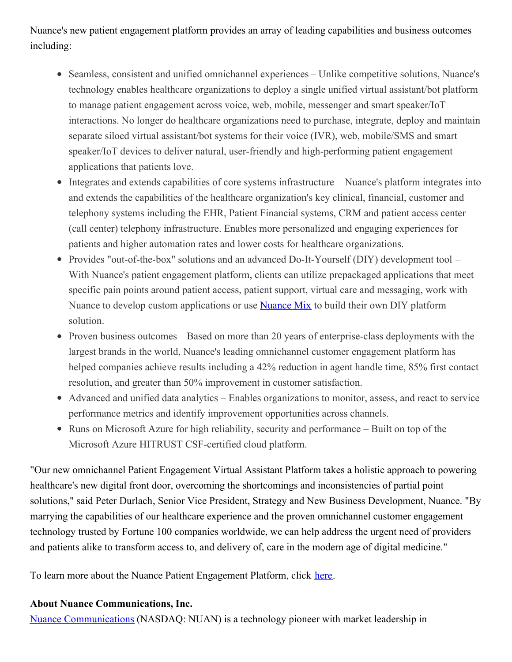Nuance's new patient engagement platform provides an array of leading capabilities and business outcomes including:

- Seamless, consistent and unified omnichannel experiences Unlike competitive solutions, Nuance's technology enables healthcare organizations to deploy a single unified virtual assistant/bot platform to manage patient engagement across voice, web, mobile, messenger and smart speaker/IoT interactions. No longer do healthcare organizations need to purchase, integrate, deploy and maintain separate siloed virtual assistant/bot systems for their voice (IVR), web, mobile/SMS and smart speaker/IoT devices to deliver natural, user-friendly and high-performing patient engagement applications that patients love.
- Integrates and extends capabilities of core systems infrastructure Nuance's platform integrates into and extends the capabilities of the healthcare organization's key clinical, financial, customer and telephony systems including the EHR, Patient Financial systems, CRM and patient access center (call center) telephony infrastructure. Enables more personalized and engaging experiences for patients and higher automation rates and lower costs for healthcare organizations.
- Provides "out-of-the-box" solutions and an advanced Do-It-Yourself (DIY) development tool With Nuance's patient engagement platform, clients can utilize prepackaged applications that meet specific pain points around patient access, patient support, virtual care and messaging, work with [Nuance](https://c212.net/c/link/?t=0&l=en&o=3029718-1&h=2575082952&u=https%3A%2F%2Fwww.nuance.com%2Fomni-channel-customer-engagement%2Fnuance-mix.html&a=Nuance+Mix) to develop custom applications or use Nuance Mix to build their own DIY platform solution.
- Proven business outcomes Based on more than 20 years of enterprise-class deployments with the largest brands in the world, Nuance's leading omnichannel customer engagement platform has helped companies achieve results including a 42% reduction in agent handle time, 85% first contact resolution, and greater than 50% improvement in customer satisfaction.
- Advanced and unified data analytics Enables organizations to monitor, assess, and react to service performance metrics and identify improvement opportunities across channels.
- Runs on Microsoft Azure for high reliability, security and performance Built on top of the Microsoft Azure HITRUST CSF-certified cloud platform.

"Our new omnichannel Patient Engagement Virtual Assistant Platform takes a holistic approach to powering healthcare's new digital front door, overcoming the shortcomings and inconsistencies of partial point solutions," said Peter Durlach, Senior Vice President, Strategy and New Business Development, Nuance. "By marrying the capabilities of our healthcare experience and the proven omnichannel customer engagement technology trusted by Fortune 100 companies worldwide, we can help address the urgent need of providers and patients alike to transform access to, and delivery of, care in the modern age of digital medicine."

To learn more about the Nuance Patient Engagement Platform, click [here](https://c212.net/c/link/?t=0&l=en&o=3029718-1&h=3259589945&u=https%3A%2F%2Fwww.nuance.com%2Fhealthcare%2Fpatient-engagement.html&a=here).

## **About Nuance Communications, Inc.**

Nuance [Communications](https://c212.net/c/link/?t=0&l=en&o=3029718-1&h=1335233909&u=https%3A%2F%2Fc212.net%2Fc%2Flink%2F%3Ft%3D0%26l%3Den%26o%3D2962967-1%26h%3D505812426%26u%3Dhttps%253A%252F%252Fwww.nuance.com%252Findex.html%26a%3DNuance%2BCommunications&a=Nuance+Communications) (NASDAQ: NUAN) is a technology pioneer with market leadership in